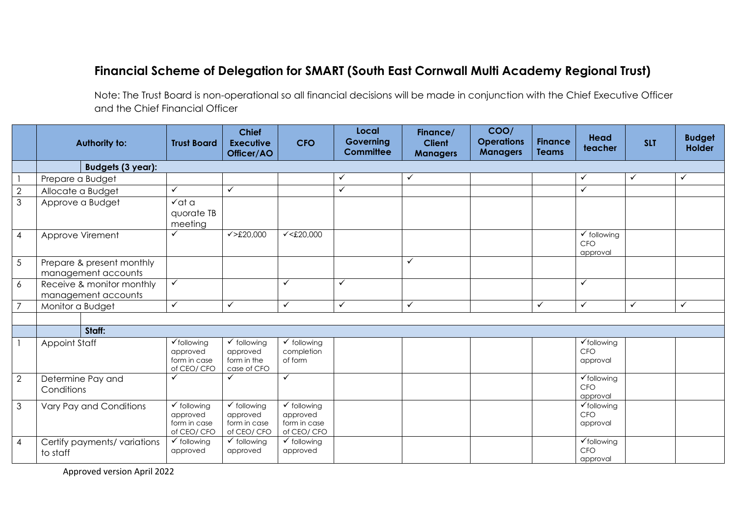## **Financial Scheme of Delegation for SMART (South East Cornwall Multi Academy Regional Trust)**

Note: The Trust Board is non-operational so all financial decisions will be made in conjunction with the Chief Executive Officer and the Chief Financial Officer

|                | <b>Authority to:</b>                             | <b>Trust Board</b>                                                | <b>Chief</b><br><b>Executive</b><br>Officer/AO                    | <b>CFO</b>                                                        | Local<br>Governing<br><b>Committee</b> | Finance/<br><b>Client</b><br><b>Managers</b> | COO/<br><b>Operations</b><br><b>Managers</b> | <b>Finance</b><br><b>Teams</b> | <b>Head</b><br>teacher                           | <b>SLT</b>   | <b>Budget</b><br><b>Holder</b> |
|----------------|--------------------------------------------------|-------------------------------------------------------------------|-------------------------------------------------------------------|-------------------------------------------------------------------|----------------------------------------|----------------------------------------------|----------------------------------------------|--------------------------------|--------------------------------------------------|--------------|--------------------------------|
|                | <b>Budgets (3 year):</b>                         |                                                                   |                                                                   |                                                                   |                                        |                                              |                                              |                                |                                                  |              |                                |
|                | Prepare a Budget                                 |                                                                   |                                                                   |                                                                   | ✓                                      | ✓                                            |                                              |                                | ✓                                                | $\checkmark$ | $\checkmark$                   |
| $\sqrt{2}$     | Allocate a Budget                                | ✓                                                                 | $\checkmark$                                                      |                                                                   | $\checkmark$                           |                                              |                                              |                                | $\checkmark$                                     |              |                                |
| $\mathfrak{Z}$ | Approve a Budget                                 | $\sqrt{at} a$<br>quorate TB<br>meeting                            |                                                                   |                                                                   |                                        |                                              |                                              |                                |                                                  |              |                                |
| $\overline{4}$ | Approve Virement                                 | ✓                                                                 | $\checkmark$ >£20,000                                             | $\sqrt{\text{£}20,000}$                                           |                                        |                                              |                                              |                                | $\checkmark$ following<br><b>CFO</b><br>approval |              |                                |
| $\overline{5}$ | Prepare & present monthly<br>management accounts |                                                                   |                                                                   |                                                                   |                                        | $\checkmark$                                 |                                              |                                |                                                  |              |                                |
| 6              | Receive & monitor monthly<br>management accounts | $\checkmark$                                                      |                                                                   | ✓                                                                 | $\checkmark$                           |                                              |                                              |                                | $\checkmark$                                     |              |                                |
| $\overline{7}$ | Monitor a Budget                                 | $\checkmark$                                                      | ✓                                                                 | $\checkmark$                                                      | $\checkmark$                           | $\checkmark$                                 |                                              | $\checkmark$                   | $\checkmark$                                     | $\checkmark$ | $\checkmark$                   |
|                |                                                  |                                                                   |                                                                   |                                                                   |                                        |                                              |                                              |                                |                                                  |              |                                |
|                | Staff:                                           |                                                                   |                                                                   |                                                                   |                                        |                                              |                                              |                                |                                                  |              |                                |
|                | <b>Appoint Staff</b>                             | $\checkmark$ following<br>approved<br>form in case<br>of CEO/ CFO | $\checkmark$ following<br>approved<br>form in the<br>case of CFO  | $\checkmark$ following<br>completion<br>of form                   |                                        |                                              |                                              |                                | $\checkmark$ following<br><b>CFO</b><br>approval |              |                                |
| $\overline{2}$ | Determine Pay and<br>Conditions                  | $\checkmark$                                                      | ✓                                                                 | $\checkmark$                                                      |                                        |                                              |                                              |                                | $\checkmark$ following<br>CFO<br>approval        |              |                                |
| $\mathfrak{S}$ | Vary Pay and Conditions                          | $\checkmark$ following<br>approved<br>form in case<br>of CEO/ CFO | $\checkmark$ following<br>approved<br>form in case<br>of CEO/ CFO | $\checkmark$ following<br>approved<br>form in case<br>of CEO/ CFO |                                        |                                              |                                              |                                | $\checkmark$ following<br><b>CFO</b><br>approval |              |                                |
| 4              | Certify payments/ variations<br>to staff         | $\checkmark$ following<br>approved                                | $\checkmark$ following<br>approved                                | $\checkmark$ following<br>approved                                |                                        |                                              |                                              |                                | ✔ following<br><b>CFO</b><br>approval            |              |                                |

Approved version April 2022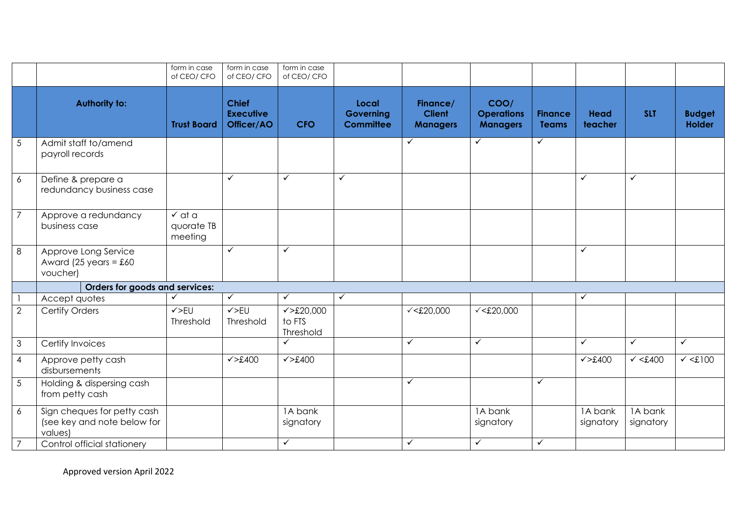|                 |                                                                       | form in case<br>of CEO/ CFO                | form in case<br>of CEO/ CFO                    | form in case<br>of CEO/ CFO                   |                                        |                                              |                                              |                                |                        |                      |                                |
|-----------------|-----------------------------------------------------------------------|--------------------------------------------|------------------------------------------------|-----------------------------------------------|----------------------------------------|----------------------------------------------|----------------------------------------------|--------------------------------|------------------------|----------------------|--------------------------------|
|                 | <b>Authority to:</b>                                                  | <b>Trust Board</b>                         | <b>Chief</b><br><b>Executive</b><br>Officer/AO | <b>CFO</b>                                    | Local<br>Governing<br><b>Committee</b> | Finance/<br><b>Client</b><br><b>Managers</b> | COO/<br><b>Operations</b><br><b>Managers</b> | <b>Finance</b><br><b>Teams</b> | <b>Head</b><br>teacher | <b>SLT</b>           | <b>Budget</b><br><b>Holder</b> |
| $\sqrt{5}$      | Admit staff to/amend<br>payroll records                               |                                            |                                                |                                               |                                        | $\checkmark$                                 | ✓                                            | $\checkmark$                   |                        |                      |                                |
| 6               | Define & prepare a<br>redundancy business case                        |                                            | ✓                                              | $\checkmark$                                  | ✓                                      |                                              |                                              |                                | ✓                      | $\checkmark$         |                                |
| $\overline{7}$  | Approve a redundancy<br>business case                                 | $\checkmark$ at a<br>quorate TB<br>meeting |                                                |                                               |                                        |                                              |                                              |                                |                        |                      |                                |
| 8               | Approve Long Service<br>Award (25 years = $£60$<br>voucher)           |                                            | $\checkmark$                                   | $\checkmark$                                  |                                        |                                              |                                              |                                | $\checkmark$           |                      |                                |
|                 | Orders for goods and services:                                        |                                            |                                                |                                               |                                        |                                              |                                              |                                |                        |                      |                                |
|                 | Accept quotes                                                         | ✓                                          | $\checkmark$                                   | $\checkmark$                                  | $\checkmark$                           |                                              |                                              |                                | $\checkmark$           |                      |                                |
| $\overline{2}$  | Certify Orders                                                        | $\checkmark$ >EU<br>Threshold              | $\checkmark$ >EU<br>Threshold                  | $\checkmark > £20,000$<br>to FTS<br>Threshold |                                        | $\sqrt{520,000}$                             | $\sqrt{520,000}$                             |                                |                        |                      |                                |
| $\overline{3}$  | Certify Invoices                                                      |                                            |                                                | $\checkmark$                                  |                                        | $\checkmark$                                 | $\checkmark$                                 |                                | $\checkmark$           | $\checkmark$         | $\checkmark$                   |
| $\overline{4}$  | Approve petty cash<br>disbursements                                   |                                            | $\checkmark$ >£400                             | $\checkmark$ >£400                            |                                        |                                              |                                              |                                | $\checkmark$ >£400     | $\checkmark$ <£400   | $\checkmark$ <£100             |
| $5\phantom{.0}$ | Holding & dispersing cash<br>from petty cash                          |                                            |                                                |                                               |                                        | $\checkmark$                                 |                                              | $\checkmark$                   |                        |                      |                                |
| $\epsilon$      | Sign cheques for petty cash<br>(see key and note below for<br>values) |                                            |                                                | 1A bank<br>signatory                          |                                        |                                              | 1A bank<br>signatory                         |                                | 1A bank<br>signatory   | 1A bank<br>signatory |                                |
| $\overline{7}$  | Control official stationery                                           |                                            |                                                | $\checkmark$                                  |                                        | $\checkmark$                                 | $\checkmark$                                 | $\checkmark$                   |                        |                      |                                |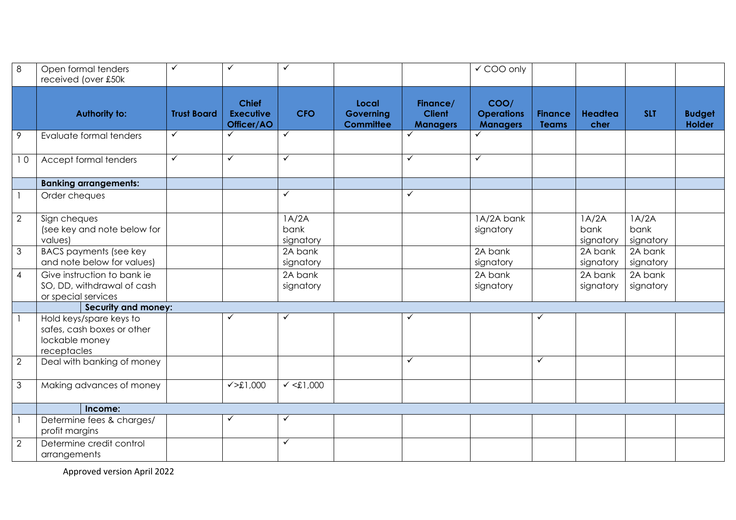| 8              | Open formal tenders<br>received (over £50k                                             | ✓                  | ✓                                              | $\checkmark$               |                                        |                                              | ✔ COO only                                   |                                |                            |                            |                                |
|----------------|----------------------------------------------------------------------------------------|--------------------|------------------------------------------------|----------------------------|----------------------------------------|----------------------------------------------|----------------------------------------------|--------------------------------|----------------------------|----------------------------|--------------------------------|
|                | <b>Authority to:</b>                                                                   | <b>Trust Board</b> | <b>Chief</b><br><b>Executive</b><br>Officer/AO | <b>CFO</b>                 | Local<br>Governing<br><b>Committee</b> | Finance/<br><b>Client</b><br><b>Managers</b> | COO/<br><b>Operations</b><br><b>Managers</b> | <b>Finance</b><br><b>Teams</b> | Headtea<br>cher            | <b>SLT</b>                 | <b>Budget</b><br><b>Holder</b> |
| $\mathcal{P}$  | Evaluate formal tenders                                                                | ✓                  | ✓                                              | $\checkmark$               |                                        | $\checkmark$                                 |                                              |                                |                            |                            |                                |
| 10             | Accept formal tenders                                                                  | $\checkmark$       | $\checkmark$                                   | $\checkmark$               |                                        | $\checkmark$                                 | ✓                                            |                                |                            |                            |                                |
|                | <b>Banking arrangements:</b>                                                           |                    |                                                |                            |                                        |                                              |                                              |                                |                            |                            |                                |
|                | Order cheques                                                                          |                    |                                                | $\overline{\checkmark}$    |                                        | $\checkmark$                                 |                                              |                                |                            |                            |                                |
| 2              | Sign cheques<br>(see key and note below for<br>values)                                 |                    |                                                | 1A/2A<br>bank<br>signatory |                                        |                                              | 1A/2A bank<br>signatory                      |                                | 1A/2A<br>bank<br>signatory | 1A/2A<br>bank<br>signatory |                                |
| $\mathfrak{Z}$ | <b>BACS payments (see key</b><br>and note below for values)                            |                    |                                                | 2A bank<br>signatory       |                                        |                                              | 2A bank<br>signatory                         |                                | 2A bank<br>signatory       | 2A bank<br>signatory       |                                |
| $\overline{4}$ | Give instruction to bank ie<br>SO, DD, withdrawal of cash<br>or special services       |                    |                                                | $2A$ bank<br>signatory     |                                        |                                              | 2A bank<br>signatory                         |                                | 2A bank<br>signatory       | 2A bank<br>signatory       |                                |
|                | Security and money:                                                                    |                    |                                                |                            |                                        |                                              |                                              |                                |                            |                            |                                |
|                | Hold keys/spare keys to<br>safes, cash boxes or other<br>lockable money<br>receptacles |                    |                                                | $\overline{\checkmark}$    |                                        | $\overline{\checkmark}$                      |                                              |                                |                            |                            |                                |
| $\overline{2}$ | Deal with banking of money                                                             |                    |                                                |                            |                                        | $\checkmark$                                 |                                              | $\checkmark$                   |                            |                            |                                |
| $\mathfrak{Z}$ | Making advances of money                                                               |                    | $\sqrt{51,000}$                                | $\sqrt{51,000}$            |                                        |                                              |                                              |                                |                            |                            |                                |
|                | Income:                                                                                |                    |                                                |                            |                                        |                                              |                                              |                                |                            |                            |                                |
|                | Determine fees & charges/<br>profit margins                                            |                    |                                                | $\checkmark$               |                                        |                                              |                                              |                                |                            |                            |                                |
| 2              | Determine credit control<br>arrangements                                               |                    |                                                | $\checkmark$               |                                        |                                              |                                              |                                |                            |                            |                                |

Approved version April 2022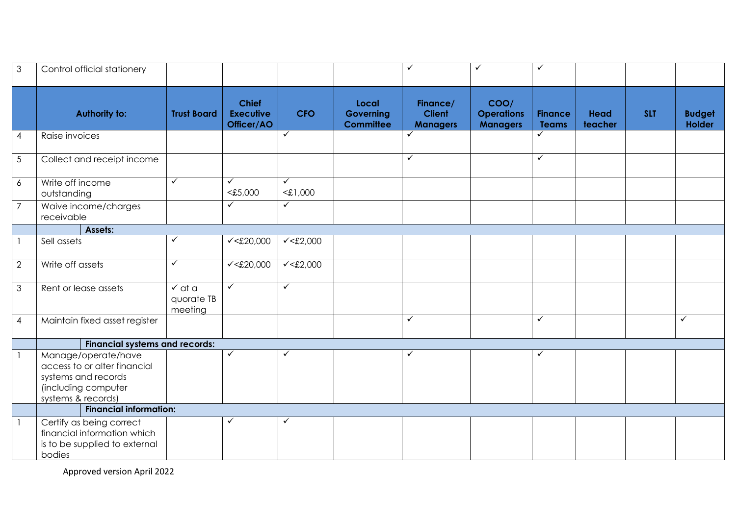| $\mathfrak{Z}$ | Control official stationery                                                                                             |                                            |                                                |                            |                                        | $\checkmark$                                 | ✓                                            | ✓                              |                        |            |                         |
|----------------|-------------------------------------------------------------------------------------------------------------------------|--------------------------------------------|------------------------------------------------|----------------------------|----------------------------------------|----------------------------------------------|----------------------------------------------|--------------------------------|------------------------|------------|-------------------------|
|                | <b>Authority to:</b>                                                                                                    | <b>Trust Board</b>                         | <b>Chief</b><br><b>Executive</b><br>Officer/AO | <b>CFO</b>                 | Local<br>Governing<br><b>Committee</b> | Finance/<br><b>Client</b><br><b>Managers</b> | COO/<br><b>Operations</b><br><b>Managers</b> | <b>Finance</b><br><b>Teams</b> | <b>Head</b><br>teacher | <b>SLT</b> | <b>Budget</b><br>Holder |
| $\overline{4}$ | Raise invoices                                                                                                          |                                            |                                                | $\checkmark$               |                                        | $\checkmark$                                 |                                              | $\checkmark$                   |                        |            |                         |
| $\sqrt{5}$     | Collect and receipt income                                                                                              |                                            |                                                |                            |                                        | $\checkmark$                                 |                                              | $\checkmark$                   |                        |            |                         |
| $\epsilon$     | Write off income<br>outstanding                                                                                         | $\checkmark$                               | ✓<br>< £5,000                                  | $\checkmark$<br>$<$ £1,000 |                                        |                                              |                                              |                                |                        |            |                         |
| $\overline{7}$ | Waive income/charges<br>receivable                                                                                      |                                            | ✓                                              | $\checkmark$               |                                        |                                              |                                              |                                |                        |            |                         |
|                | Assets:                                                                                                                 |                                            |                                                |                            |                                        |                                              |                                              |                                |                        |            |                         |
| $\mathbf{1}$   | Sell assets                                                                                                             | $\checkmark$                               | $\sqrt{\text{120,000}}$                        | $\sqrt{\text{2.2}}$        |                                        |                                              |                                              |                                |                        |            |                         |
| $\overline{2}$ | Write off assets                                                                                                        | $\checkmark$                               | $\sqrt{\text{20,000}}$                         | $\sqrt{\text{22,000}}$     |                                        |                                              |                                              |                                |                        |            |                         |
| $\mathfrak{Z}$ | Rent or lease assets                                                                                                    | $\checkmark$ at a<br>quorate TB<br>meeting | $\checkmark$                                   | $\checkmark$               |                                        |                                              |                                              |                                |                        |            |                         |
| $\overline{4}$ | Maintain fixed asset register                                                                                           |                                            |                                                |                            |                                        | $\checkmark$                                 |                                              | $\checkmark$                   |                        |            | $\checkmark$            |
|                | <b>Financial systems and records:</b>                                                                                   |                                            |                                                |                            |                                        |                                              |                                              |                                |                        |            |                         |
| $\mathbf{1}$   | Manage/operate/have<br>access to or alter financial<br>systems and records<br>(including computer<br>systems & records) |                                            | ✓                                              | $\checkmark$               |                                        | $\checkmark$                                 |                                              | ✓                              |                        |            |                         |
|                | <b>Financial information:</b>                                                                                           |                                            |                                                |                            |                                        |                                              |                                              |                                |                        |            |                         |
| $\mathbf{1}$   | Certify as being correct<br>financial information which<br>is to be supplied to external<br>bodies                      |                                            | ✓                                              | $\checkmark$               |                                        |                                              |                                              |                                |                        |            |                         |

Approved version April 2022